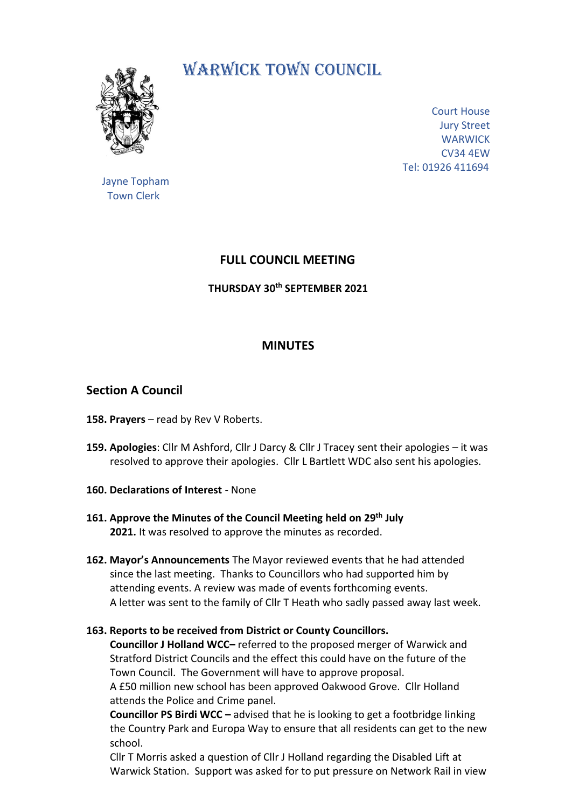

# WARWICK TOWN COUNCIL.

Court House Jury Street **WARWICK** CV34 4EW Tel: 01926 411694

 Jayne Topham Town Clerk

# **FULL COUNCIL MEETING**

## **THURSDAY 30th SEPTEMBER 2021**

## **MINUTES**

## **Section A Council**

- **158. Prayers** read by Rev V Roberts.
- **159. Apologies**: Cllr M Ashford, Cllr J Darcy & Cllr J Tracey sent their apologies it was resolved to approve their apologies. Cllr L Bartlett WDC also sent his apologies.
- **160. Declarations of Interest** None
- **161. Approve the Minutes of the Council Meeting held on 29 th July 2021.** It was resolved to approve the minutes as recorded.
- **162. Mayor's Announcements** The Mayor reviewed events that he had attended since the last meeting. Thanks to Councillors who had supported him by attending events. A review was made of events forthcoming events. A letter was sent to the family of Cllr T Heath who sadly passed away last week.

## **163. Reports to be received from District or County Councillors.**

 **Councillor J Holland WCC–** referred to the proposed merger of Warwick and Stratford District Councils and the effect this could have on the future of the Town Council. The Government will have to approve proposal. A £50 million new school has been approved Oakwood Grove. Cllr Holland attends the Police and Crime panel.

 **Councillor PS Birdi WCC –** advised that he is looking to get a footbridge linking the Country Park and Europa Way to ensure that all residents can get to the new school.

 Cllr T Morris asked a question of Cllr J Holland regarding the Disabled Lift at Warwick Station. Support was asked for to put pressure on Network Rail in view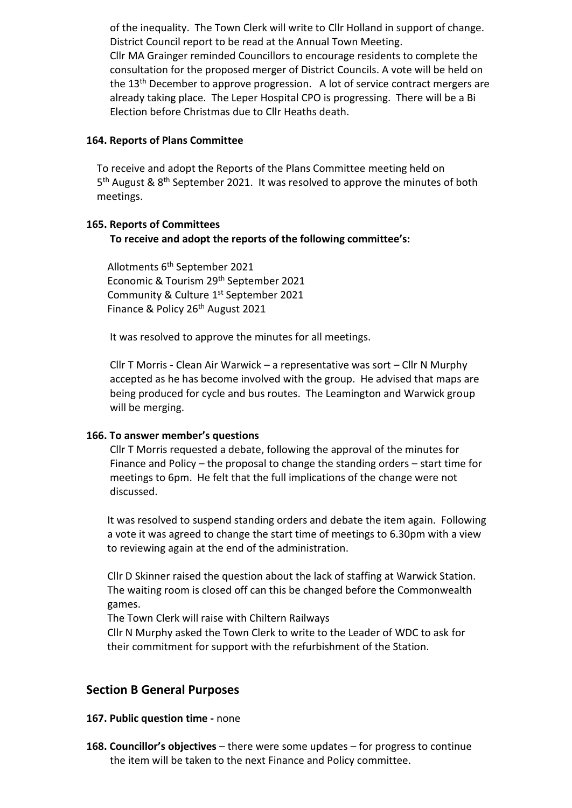of the inequality. The Town Clerk will write to Cllr Holland in support of change. District Council report to be read at the Annual Town Meeting. Cllr MA Grainger reminded Councillors to encourage residents to complete the consultation for the proposed merger of District Councils. A vote will be held on the 13<sup>th</sup> December to approve progression. A lot of service contract mergers are already taking place. The Leper Hospital CPO is progressing. There will be a Bi Election before Christmas due to Cllr Heaths death.

#### **164. Reports of Plans Committee**

 To receive and adopt the Reports of the Plans Committee meeting held on 5<sup>th</sup> August & 8<sup>th</sup> September 2021. It was resolved to approve the minutes of both meetings.

#### **165. Reports of Committees To receive and adopt the reports of the following committee's:**

Allotments 6 th September 2021 Economic & Tourism 29th September 2021 Community & Culture 1st September 2021 Finance & Policy 26<sup>th</sup> August 2021

It was resolved to approve the minutes for all meetings.

 Cllr T Morris - Clean Air Warwick – a representative was sort – Cllr N Murphy accepted as he has become involved with the group. He advised that maps are being produced for cycle and bus routes. The Leamington and Warwick group will be merging.

#### **166. To answer member's questions**

 Cllr T Morris requested a debate, following the approval of the minutes for Finance and Policy – the proposal to change the standing orders – start time for meetings to 6pm. He felt that the full implications of the change were not discussed.

 It was resolved to suspend standing orders and debate the item again. Following a vote it was agreed to change the start time of meetings to 6.30pm with a view to reviewing again at the end of the administration.

 Cllr D Skinner raised the question about the lack of staffing at Warwick Station. The waiting room is closed off can this be changed before the Commonwealth games.

The Town Clerk will raise with Chiltern Railways

 Cllr N Murphy asked the Town Clerk to write to the Leader of WDC to ask for their commitment for support with the refurbishment of the Station.

## **Section B General Purposes**

#### **167. Public question time -** none

**168. Councillor's objectives** – there were some updates – for progress to continue the item will be taken to the next Finance and Policy committee.